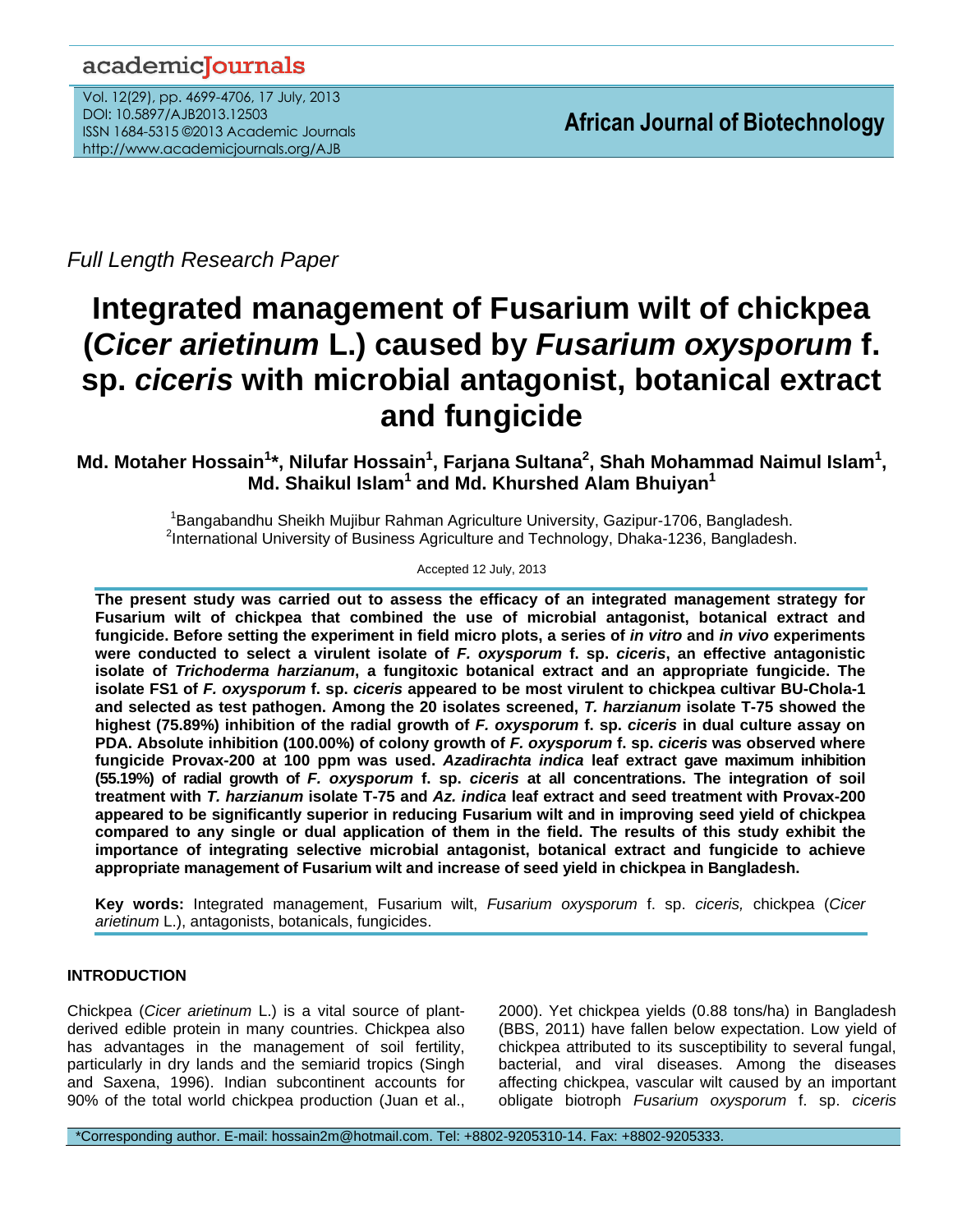# academicJournals

Vol. 12(29), pp. 4699-4706, 17 July, 2013 DOI: 10.5897/AJB2013.12503 ISSN 1684-5315 ©2013 Academic Journals http://www.academicjournals.org/AJB

*Full Length Research Paper*

# **Integrated management of Fusarium wilt of chickpea (***Cicer arietinum* **L.) caused by** *Fusarium oxysporum* **f. sp.** *ciceris* **with microbial antagonist, botanical extract and fungicide**

# **Md. Motaher Hossain<sup>1</sup> \*, Nilufar Hossain<sup>1</sup> , Farjana Sultana<sup>2</sup> , Shah Mohammad Naimul Islam<sup>1</sup> , Md. Shaikul Islam<sup>1</sup> and Md. Khurshed Alam Bhuiyan<sup>1</sup>**

<sup>1</sup>Bangabandhu Sheikh Mujibur Rahman Agriculture University, Gazipur-1706, Bangladesh. <sup>2</sup>International University of Business Agriculture and Technology, Dhaka-1236, Bangladesh.

# Accepted 12 July, 2013

**The present study was carried out to assess the efficacy of an integrated management strategy for Fusarium wilt of chickpea that combined the use of microbial antagonist, botanical extract and fungicide. Before setting the experiment in field micro plots, a series of** *in vitro* **and** *in vivo* **experiments were conducted to select a virulent isolate of** *F. oxysporum* **f. sp.** *ciceris***, an effective antagonistic isolate of** *Trichoderma harzianum***, a fungitoxic botanical extract and an appropriate fungicide. The isolate FS1 of** *F. oxysporum* **f. sp.** *ciceris* **appeared to be most virulent to chickpea cultivar BU-Chola-1 and selected as test pathogen. Among the 20 isolates screened,** *T. harzianum* **isolate T-75 showed the highest (75.89%) inhibition of the radial growth of** *F. oxysporum* **f. sp.** *ciceris* **in dual culture assay on PDA. Absolute inhibition (100.00%) of colony growth of** *F. oxysporum* **f. sp.** *ciceris* **was observed where fungicide Provax-200 at 100 ppm was used.** *Azadirachta indica* **leaf extract gave maximum inhibition (55.19%) of radial growth of** *F. oxysporum* **f. sp.** *ciceris* **at all concentrations. The integration of soil treatment with** *T. harzianum* **isolate T-75 and** *Az. indica* **leaf extract and seed treatment with Provax-200 appeared to be significantly superior in reducing Fusarium wilt and in improving seed yield of chickpea compared to any single or dual application of them in the field. The results of this study exhibit the importance of integrating selective microbial antagonist, botanical extract and fungicide to achieve appropriate management of Fusarium wilt and increase of seed yield in chickpea in Bangladesh.**

**Key words:** Integrated management, Fusarium wilt, *Fusarium oxysporum* f. sp. *ciceris,* chickpea (*Cicer arietinum* L.), antagonists, botanicals, fungicides.

# **INTRODUCTION**

Chickpea (*Cicer arietinum* L.) is a vital source of plantderived edible protein in many countries. Chickpea also has advantages in the management of soil fertility, particularly in dry lands and the semiarid tropics (Singh and Saxena, 1996). Indian subcontinent accounts for 90% of the total world chickpea production (Juan et al., 2000). Yet chickpea yields (0.88 tons/ha) in Bangladesh (BBS, 2011) have fallen below expectation. Low yield of chickpea attributed to its susceptibility to several fungal, bacterial, and viral diseases. Among the diseases affecting chickpea, vascular wilt caused by an important obligate biotroph *Fusarium oxysporum* f. sp. *ciceris*

\*Corresponding author. E-mail: hossain2m@hotmail.com. Tel: +8802-9205310-14. Fax: +8802-9205333.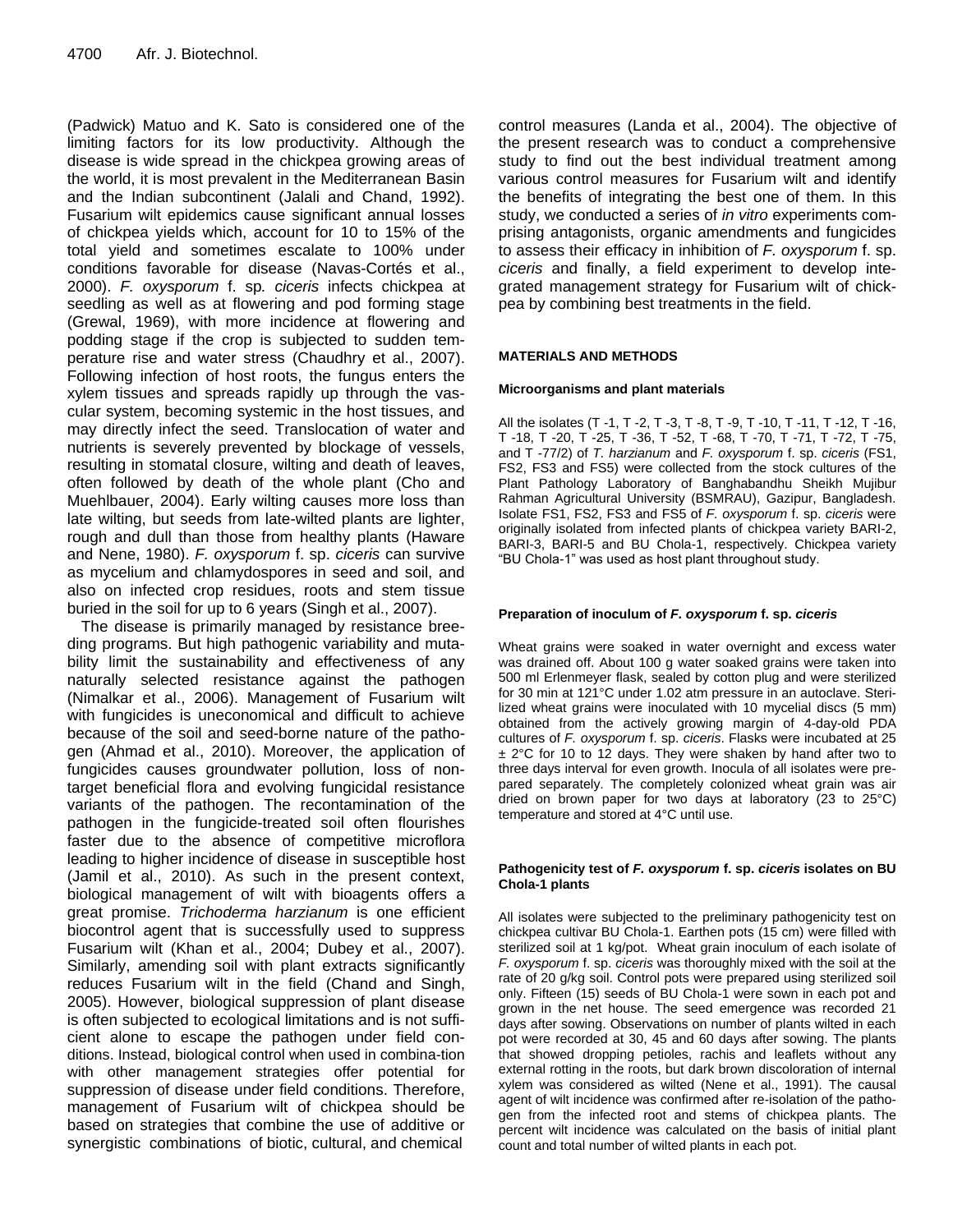(Padwick) Matuo and K. Sato is considered one of the limiting factors for its low productivity. Although the disease is wide spread in the chickpea growing areas of the world, it is most prevalent in the Mediterranean Basin and the Indian subcontinent (Jalali and Chand, 1992). Fusarium wilt epidemics cause significant annual losses of chickpea yields which, account for 10 to 15% of the total yield and sometimes escalate to 100% under conditions favorable for disease (Navas-Cortés et al., 2000). *F. oxysporum* f. sp*. ciceris* infects chickpea at seedling as well as at flowering and pod forming stage (Grewal, 1969), with more incidence at flowering and podding stage if the crop is subjected to sudden temperature rise and water stress (Chaudhry et al., 2007). Following infection of host roots, the fungus enters the xylem tissues and spreads rapidly up through the vascular system, becoming systemic in the host tissues, and may directly infect the seed. Translocation of water and nutrients is severely prevented by blockage of vessels, resulting in stomatal closure, wilting and death of leaves, often followed by death of the whole plant (Cho and Muehlbauer, 2004). Early wilting causes more loss than late wilting, but seeds from late-wilted plants are lighter, rough and dull than those from healthy plants (Haware and Nene, 1980). *F. oxysporum* f. sp. *ciceris* can survive as mycelium and chlamydospores in seed and soil, and also on infected crop residues, roots and stem tissue buried in the soil for up to 6 years (Singh et al., 2007).

The disease is primarily managed by resistance breeding programs. But high pathogenic variability and mutability limit the sustainability and effectiveness of any naturally selected resistance against the pathogen (Nimalkar et al., 2006). Management of Fusarium wilt with fungicides is uneconomical and difficult to achieve because of the soil and seed-borne nature of the pathogen (Ahmad et al., 2010). Moreover, the application of fungicides causes groundwater pollution, loss of nontarget beneficial flora and evolving fungicidal resistance variants of the pathogen. The recontamination of the pathogen in the fungicide-treated soil often flourishes faster due to the absence of competitive microflora leading to higher incidence of disease in susceptible host (Jamil et al., 2010). As such in the present context, biological management of wilt with bioagents offers a great promise. *Trichoderma harzianum* is one efficient biocontrol agent that is successfully used to suppress Fusarium wilt (Khan et al., 2004; Dubey et al., 2007). Similarly, amending soil with plant extracts significantly reduces Fusarium wilt in the field (Chand and Singh, 2005). However, biological suppression of plant disease is often subjected to ecological limitations and is not sufficient alone to escape the pathogen under field conditions. Instead, biological control when used in combina-tion with other management strategies offer potential for suppression of disease under field conditions. Therefore, management of Fusarium wilt of chickpea should be based on strategies that combine the use of additive or synergistic combinations of biotic, cultural, and chemical

control measures (Landa et al., 2004). The objective of the present research was to conduct a comprehensive study to find out the best individual treatment among various control measures for Fusarium wilt and identify the benefits of integrating the best one of them. In this study, we conducted a series of *in vitro* experiments comprising antagonists, organic amendments and fungicides to assess their efficacy in inhibition of *F. oxysporum* f. sp. *ciceris* and finally, a field experiment to develop integrated management strategy for Fusarium wilt of chickpea by combining best treatments in the field.

### **MATERIALS AND METHODS**

#### **Microorganisms and plant materials**

All the isolates (T -1, T -2, T -3, T -8, T -9, T -10, T -11, T -12, T -16, T -18, T -20, T -25, T -36, T -52, T -68, T -70, T -71, T -72, T -75, and T -77/2) of *T. harzianum* and *F. oxysporum* f. sp. *ciceris* (FS1, FS2, FS3 and FS5) were collected from the stock cultures of the Plant Pathology Laboratory of Banghabandhu Sheikh Mujibur Rahman Agricultural University (BSMRAU), Gazipur, Bangladesh. Isolate FS1, FS2, FS3 and FS5 of *F. oxysporum* f. sp. *ciceris* were originally isolated from infected plants of chickpea variety BARI-2, BARI-3, BARI-5 and BU Chola-1, respectively. Chickpea variety "BU Chola-1" was used as host plant throughout study.

#### **Preparation of inoculum of** *F. oxysporum* **f. sp.** *ciceris*

Wheat grains were soaked in water overnight and excess water was drained off. About 100 g water soaked grains were taken into 500 ml Erlenmeyer flask, sealed by cotton plug and were sterilized for 30 min at 121°C under 1.02 atm pressure in an autoclave. Sterilized wheat grains were inoculated with 10 mycelial discs (5 mm) obtained from the actively growing margin of 4-day-old PDA cultures of *F. oxysporum* f. sp. *ciceris*. Flasks were incubated at 25 ± 2°C for 10 to 12 days. They were shaken by hand after two to three days interval for even growth. Inocula of all isolates were prepared separately. The completely colonized wheat grain was air dried on brown paper for two days at laboratory (23 to 25°C) temperature and stored at 4°C until use.

#### **Pathogenicity test of** *F. oxysporum* **f. sp.** *ciceris* **isolates on BU Chola-1 plants**

All isolates were subjected to the preliminary pathogenicity test on chickpea cultivar BU Chola-1. Earthen pots (15 cm) were filled with sterilized soil at 1 kg/pot. Wheat grain inoculum of each isolate of *F. oxysporum* f. sp. *ciceris* was thoroughly mixed with the soil at the rate of 20 g/kg soil. Control pots were prepared using sterilized soil only. Fifteen (15) seeds of BU Chola-1 were sown in each pot and grown in the net house. The seed emergence was recorded 21 days after sowing. Observations on number of plants wilted in each pot were recorded at 30, 45 and 60 days after sowing. The plants that showed dropping petioles, rachis and leaflets without any external rotting in the roots, but dark brown discoloration of internal xylem was considered as wilted (Nene et al., 1991). The causal agent of wilt incidence was confirmed after re-isolation of the pathogen from the infected root and stems of chickpea plants. The percent wilt incidence was calculated on the basis of initial plant count and total number of wilted plants in each pot.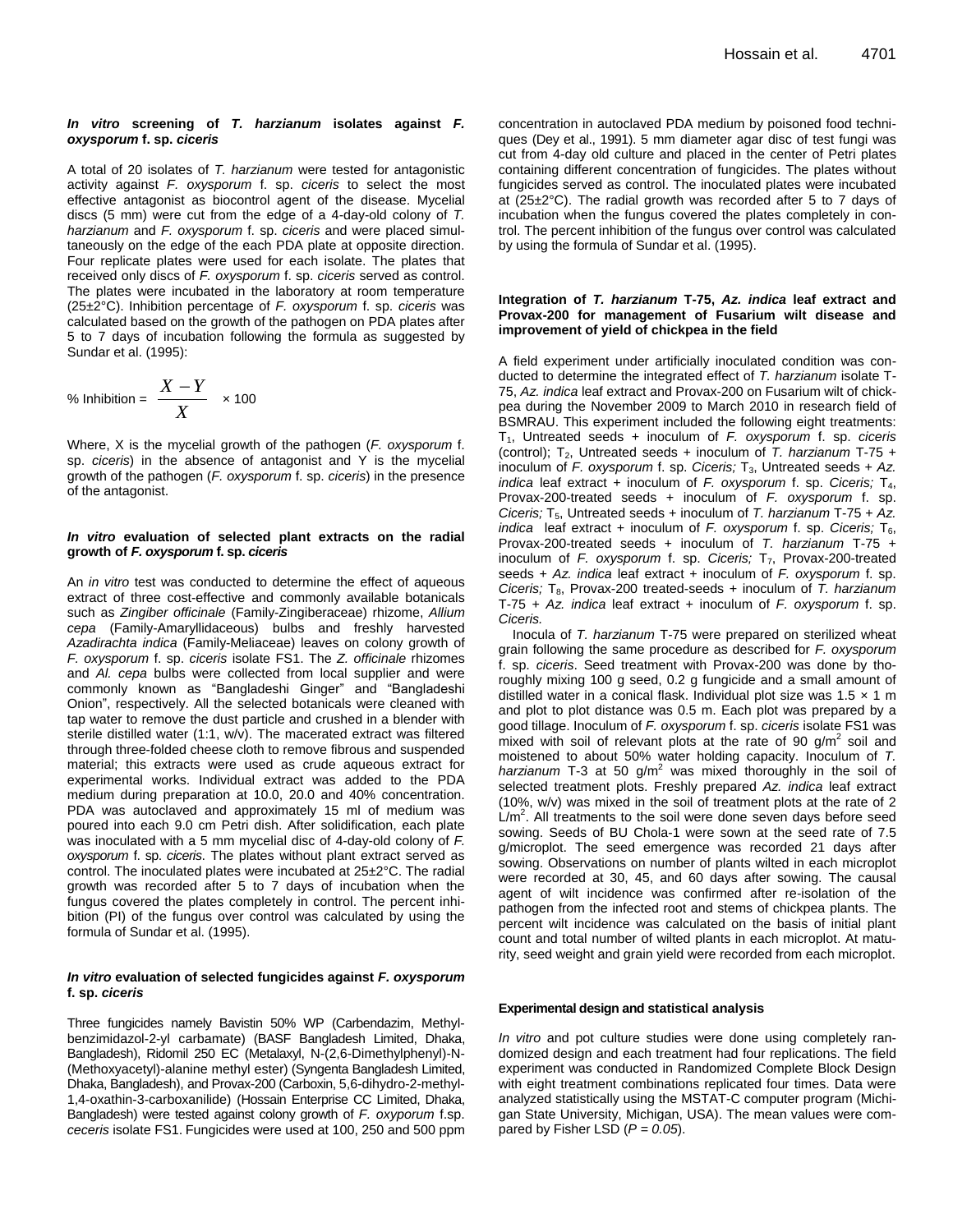#### *In vitro* **screening of** *T. harzianum* **isolates against** *F. oxysporum* **f. sp.** *ciceris*

A total of 20 isolates of *T. harzianum* were tested for antagonistic activity against *F. oxysporum* f. sp. *ciceris* to select the most effective antagonist as biocontrol agent of the disease. Mycelial discs (5 mm) were cut from the edge of a 4-day-old colony of *T. harzianum* and *F. oxysporum* f. sp. *ciceris* and were placed simultaneously on the edge of the each PDA plate at opposite direction. Four replicate plates were used for each isolate. The plates that received only discs of *F. oxysporum* f. sp. *ciceris* served as control. The plates were incubated in the laboratory at room temperature (25±2°C). Inhibition percentage of *F. oxysporum* f. sp. *ciceris* was calculated based on the growth of the pathogen on PDA plates after 5 to 7 days of incubation following the formula as suggested by Sundar et al. (1995):

% Inhibition = 
$$
\frac{X - Y}{X} \times 100
$$

Where, X is the mycelial growth of the pathogen (*F. oxysporum* f. sp. *ciceris*) in the absence of antagonist and Y is the mycelial growth of the pathogen (*F. oxysporum* f. sp. *ciceris*) in the presence of the antagonist.

#### *In vitro* **evaluation of selected plant extracts on the radial growth of** *F. oxysporum* **f. sp.** *ciceris*

An *in vitro* test was conducted to determine the effect of aqueous extract of three cost-effective and commonly available botanicals such as *Zingiber officinale* (Family-Zingiberaceae) rhizome, *Allium cepa* (Family-Amaryllidaceous) bulbs and freshly harvested *Azadirachta indica* (Family-Meliaceae) leaves on colony growth of *F. oxysporum* f. sp. *ciceris* isolate FS1. The *Z. officinale* rhizomes and *Al. cepa* bulbs were collected from local supplier and were commonly known as "Bangladeshi Ginger" and "Bangladeshi Onion", respectively. All the selected botanicals were cleaned with tap water to remove the dust particle and crushed in a blender with sterile distilled water (1:1, w/v). The macerated extract was filtered through three-folded cheese cloth to remove fibrous and suspended material; this extracts were used as crude aqueous extract for experimental works. Individual extract was added to the PDA medium during preparation at 10.0, 20.0 and 40% concentration. PDA was autoclaved and approximately 15 ml of medium was poured into each 9.0 cm Petri dish. After solidification, each plate was inoculated with a 5 mm mycelial disc of 4-day-old colony of *F. oxysporum* f. sp. *ciceris*. The plates without plant extract served as control. The inoculated plates were incubated at 25±2°C. The radial growth was recorded after 5 to 7 days of incubation when the fungus covered the plates completely in control. The percent inhibition (PI) of the fungus over control was calculated by using the formula of Sundar et al. (1995).

#### *In vitro* **evaluation of selected fungicides against** *F. oxysporum*  **f. sp.** *ciceris*

Three fungicides namely Bavistin 50% WP (Carbendazim, Methylbenzimidazol-2-yl carbamate) (BASF Bangladesh Limited, Dhaka, Bangladesh), Ridomil 250 EC (Metalaxyl, N-(2,6-Dimethylphenyl)-N- (Methoxyacetyl)-alanine methyl ester) (Syngenta Bangladesh Limited, Dhaka, Bangladesh), and Provax-200 (Carboxin, 5,6-dihydro-2-methyl-1,4-oxathin-3-carboxanilide) (Hossain Enterprise CC Limited, Dhaka, Bangladesh) were tested against colony growth of *F. oxyporum* f.sp. *ceceris* isolate FS1. Fungicides were used at 100, 250 and 500 ppm concentration in autoclaved PDA medium by poisoned food techniques (Dey et al., 1991). 5 mm diameter agar disc of test fungi was cut from 4-day old culture and placed in the center of Petri plates containing different concentration of fungicides. The plates without fungicides served as control. The inoculated plates were incubated at (25±2°C). The radial growth was recorded after 5 to 7 days of incubation when the fungus covered the plates completely in control. The percent inhibition of the fungus over control was calculated by using the formula of Sundar et al. (1995).

#### **Integration of** *T. harzianum* **T-75,** *Az. indica* **leaf extract and Provax-200 for management of Fusarium wilt disease and improvement of yield of chickpea in the field**

A field experiment under artificially inoculated condition was conducted to determine the integrated effect of *T. harzianum* isolate T-75, *Az. indica* leaf extract and Provax-200 on Fusarium wilt of chickpea during the November 2009 to March 2010 in research field of BSMRAU. This experiment included the following eight treatments: T1, Untreated seeds + inoculum of *F. oxysporum* f. sp. *ciceris* (control); T<sub>2</sub>, Untreated seeds + inoculum of *T. harzianum* T-75 + inoculum of *F. oxysporum* f. sp. *Ciceris*; T<sub>3</sub>, Untreated seeds + Az. *indica* leaf extract + inoculum of *F. oxysporum* f. sp. *Ciceris*; T<sub>4</sub>, Provax-200-treated seeds + inoculum of *F. oxysporum* f. sp. *Ciceris;* T<sub>5</sub>, Untreated seeds + inoculum of *T. harzianum* T-75 + *Az. indica* leaf extract + inoculum of *F. oxysporum* f. sp. *Ciceris;* T<sub>6</sub>, Provax-200-treated seeds + inoculum of *T. harzianum* T-75 + inoculum of *F. oxysporum* f. sp. *Ciceris*; T<sub>7</sub>, Provax-200-treated seeds + *Az. indica* leaf extract + inoculum of *F. oxysporum* f. sp. *Ciceris;* T<sub>8</sub>, Provax-200 treated-seeds + inoculum of *T. harzianum* T-75 + *Az. indica* leaf extract + inoculum of *F. oxysporum* f. sp. *Ciceris.*

Inocula of *T. harzianum* T-75 were prepared on sterilized wheat grain following the same procedure as described for *F. oxysporum* f. sp. *ciceris*. Seed treatment with Provax-200 was done by thoroughly mixing 100 g seed, 0.2 g fungicide and a small amount of distilled water in a conical flask. Individual plot size was  $1.5 \times 1$  m and plot to plot distance was 0.5 m. Each plot was prepared by a good tillage. Inoculum of *F. oxysporum* f. sp. *ciceris* isolate FS1 was mixed with soil of relevant plots at the rate of 90  $g/m^2$  soil and moistened to about 50% water holding capacity. Inoculum of *T.*  harzianum T-3 at 50 g/m<sup>2</sup> was mixed thoroughly in the soil of selected treatment plots. Freshly prepared *Az. indica* leaf extract (10%, w/v) was mixed in the soil of treatment plots at the rate of 2  $L/m<sup>2</sup>$ . All treatments to the soil were done seven days before seed sowing. Seeds of BU Chola-1 were sown at the seed rate of 7.5 g/microplot. The seed emergence was recorded 21 days after sowing. Observations on number of plants wilted in each microplot were recorded at 30, 45, and 60 days after sowing. The causal agent of wilt incidence was confirmed after re-isolation of the pathogen from the infected root and stems of chickpea plants. The percent wilt incidence was calculated on the basis of initial plant count and total number of wilted plants in each microplot. At maturity, seed weight and grain yield were recorded from each microplot.

#### **Experimental design and statistical analysis**

*In vitro* and pot culture studies were done using completely randomized design and each treatment had four replications. The field experiment was conducted in Randomized Complete Block Design with eight treatment combinations replicated four times. Data were analyzed statistically using the MSTAT-C computer program (Michigan State University, Michigan, USA). The mean values were compared by Fisher LSD  $(P = 0.05)$ .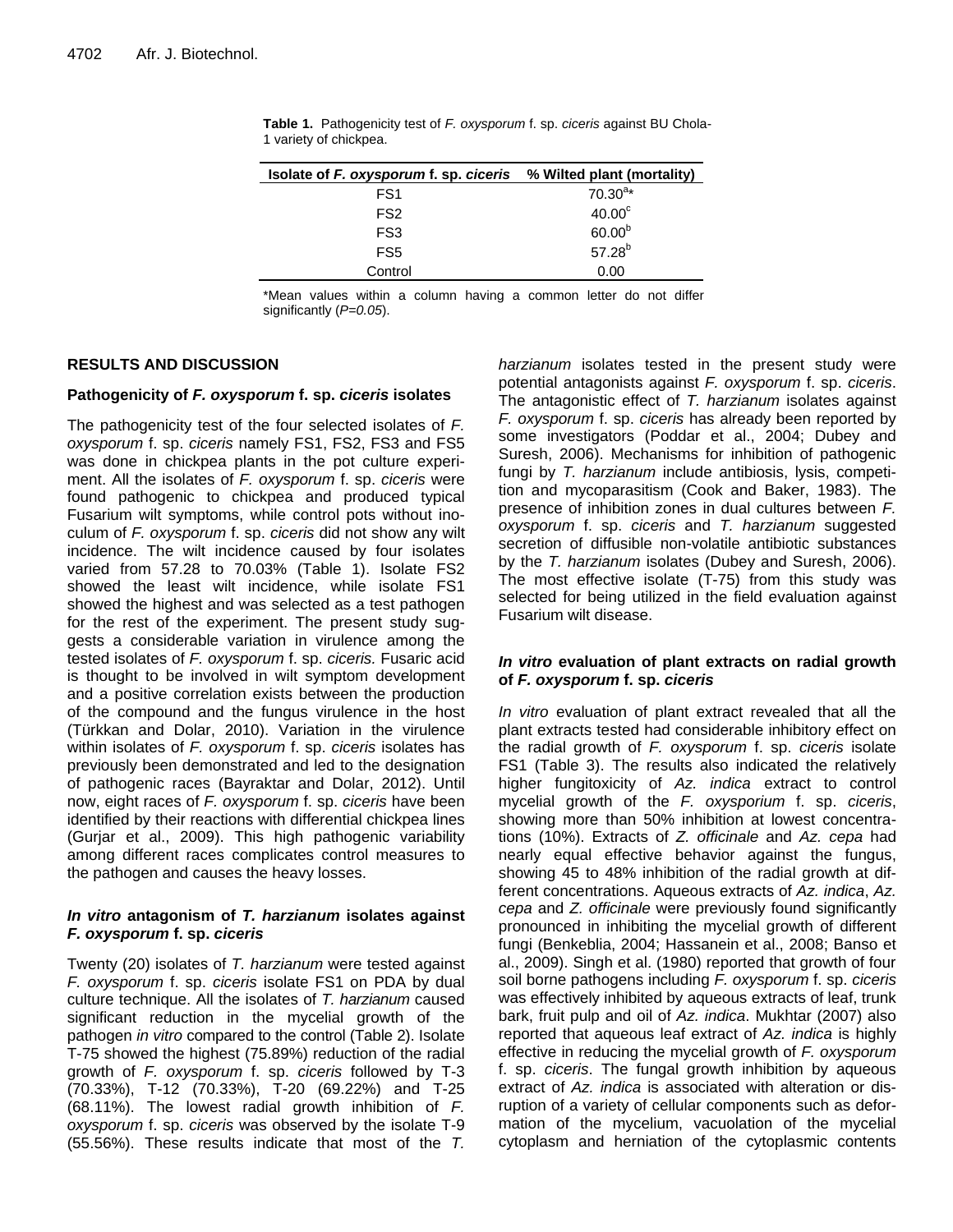| Isolate of F. oxysporum f. sp. ciceris % Wilted plant (mortality) |               |
|-------------------------------------------------------------------|---------------|
| FS <sub>1</sub>                                                   | $70.30^{a*}$  |
| FS <sub>2</sub>                                                   | $40.00^\circ$ |
| FS <sub>3</sub>                                                   | $60.00^{b}$   |
| FS <sub>5</sub>                                                   | $57.28^{b}$   |
| Control                                                           | 0.00          |

**Table 1.** Pathogenicity test of *F. oxysporum* f. sp. *ciceris* against BU Chola-1 variety of chickpea.

\*Mean values within a column having a common letter do not differ significantly (*P=0.05*).

# **RESULTS AND DISCUSSION**

# **Pathogenicity of** *F. oxysporum* **f. sp.** *ciceris* **isolates**

The pathogenicity test of the four selected isolates of *F. oxysporum* f. sp. *ciceris* namely FS1, FS2, FS3 and FS5 was done in chickpea plants in the pot culture experiment. All the isolates of *F. oxysporum* f. sp. *ciceris* were found pathogenic to chickpea and produced typical Fusarium wilt symptoms, while control pots without inoculum of *F. oxysporum* f. sp. *ciceris* did not show any wilt incidence. The wilt incidence caused by four isolates varied from 57.28 to 70.03% (Table 1). Isolate FS2 showed the least wilt incidence, while isolate FS1 showed the highest and was selected as a test pathogen for the rest of the experiment. The present study suggests a considerable variation in virulence among the tested isolates of *F. oxysporum* f. sp. *ciceris.* Fusaric acid is thought to be involved in wilt symptom development and a positive correlation exists between the production of the compound and the fungus virulence in the host (Türkkan and Dolar, 2010). Variation in the virulence within isolates of *F. oxysporum* f. sp. *ciceris* isolates has previously been demonstrated and led to the designation of pathogenic races (Bayraktar and Dolar, 2012). Until now, eight races of *F. oxysporum* f. sp. *ciceris* have been identified by their reactions with differential chickpea lines (Gurjar et al., 2009). This high pathogenic variability among different races complicates control measures to the pathogen and causes the heavy losses.

# *In vitro* **antagonism of** *T. harzianum* **isolates against**  *F. oxysporum* **f. sp.** *ciceris*

Twenty (20) isolates of *T. harzianum* were tested against *F. oxysporum* f. sp. *ciceris* isolate FS1 on PDA by dual culture technique. All the isolates of *T. harzianum* caused significant reduction in the mycelial growth of the pathogen *in vitro* compared to the control (Table 2). Isolate T-75 showed the highest (75.89%) reduction of the radial growth of *F. oxysporum* f. sp. *ciceris* followed by T-3 (70.33%), T-12 (70.33%), T-20 (69.22%) and T-25 (68.11%). The lowest radial growth inhibition of *F. oxysporum* f. sp. *ciceris* was observed by the isolate T-9 (55.56%). These results indicate that most of the *T.* 

*harzianum* isolates tested in the present study were potential antagonists against *F. oxysporum* f. sp. *ciceris*. The antagonistic effect of *T. harzianum* isolates against *F. oxysporum* f. sp. *ciceris* has already been reported by some investigators (Poddar et al., 2004; Dubey and Suresh, 2006). Mechanisms for inhibition of pathogenic fungi by *T. harzianum* include antibiosis, lysis, competition and mycoparasitism (Cook and Baker, 1983). The presence of inhibition zones in dual cultures between *F. oxysporum* f. sp. *ciceris* and *T. harzianum* suggested secretion of diffusible non-volatile antibiotic substances by the *T. harzianum* isolates (Dubey and Suresh, 2006). The most effective isolate (T-75) from this study was selected for being utilized in the field evaluation against Fusarium wilt disease.

# *In vitro* **evaluation of plant extracts on radial growth of** *F. oxysporum* **f. sp.** *ciceris*

*In vitro* evaluation of plant extract revealed that all the plant extracts tested had considerable inhibitory effect on the radial growth of *F. oxysporum* f. sp. *ciceris* isolate FS1 (Table 3). The results also indicated the relatively higher fungitoxicity of *Az. indica* extract to control mycelial growth of the *F. oxysporium* f. sp. *ciceris*, showing more than 50% inhibition at lowest concentrations (10%). Extracts of *Z. officinale* and *Az. cepa* had nearly equal effective behavior against the fungus, showing 45 to 48% inhibition of the radial growth at different concentrations. Aqueous extracts of *Az. indica*, *Az. cepa* and *Z. officinale* were previously found significantly pronounced in inhibiting the mycelial growth of different fungi (Benkeblia, 2004; Hassanein et al., 2008; Banso et al., 2009). Singh et al. (1980) reported that growth of four soil borne pathogens including *F. oxysporum* f. sp. *ciceris* was effectively inhibited by aqueous extracts of leaf, trunk bark, fruit pulp and oil of *Az. indica*. Mukhtar (2007) also reported that aqueous leaf extract of *Az. indica* is highly effective in reducing the mycelial growth of *F. oxysporum* f. sp. *ciceris*. The fungal growth inhibition by aqueous extract of *Az. indica* is associated with alteration or disruption of a variety of cellular components such as deformation of the mycelium, vacuolation of the mycelial cytoplasm and herniation of the cytoplasmic contents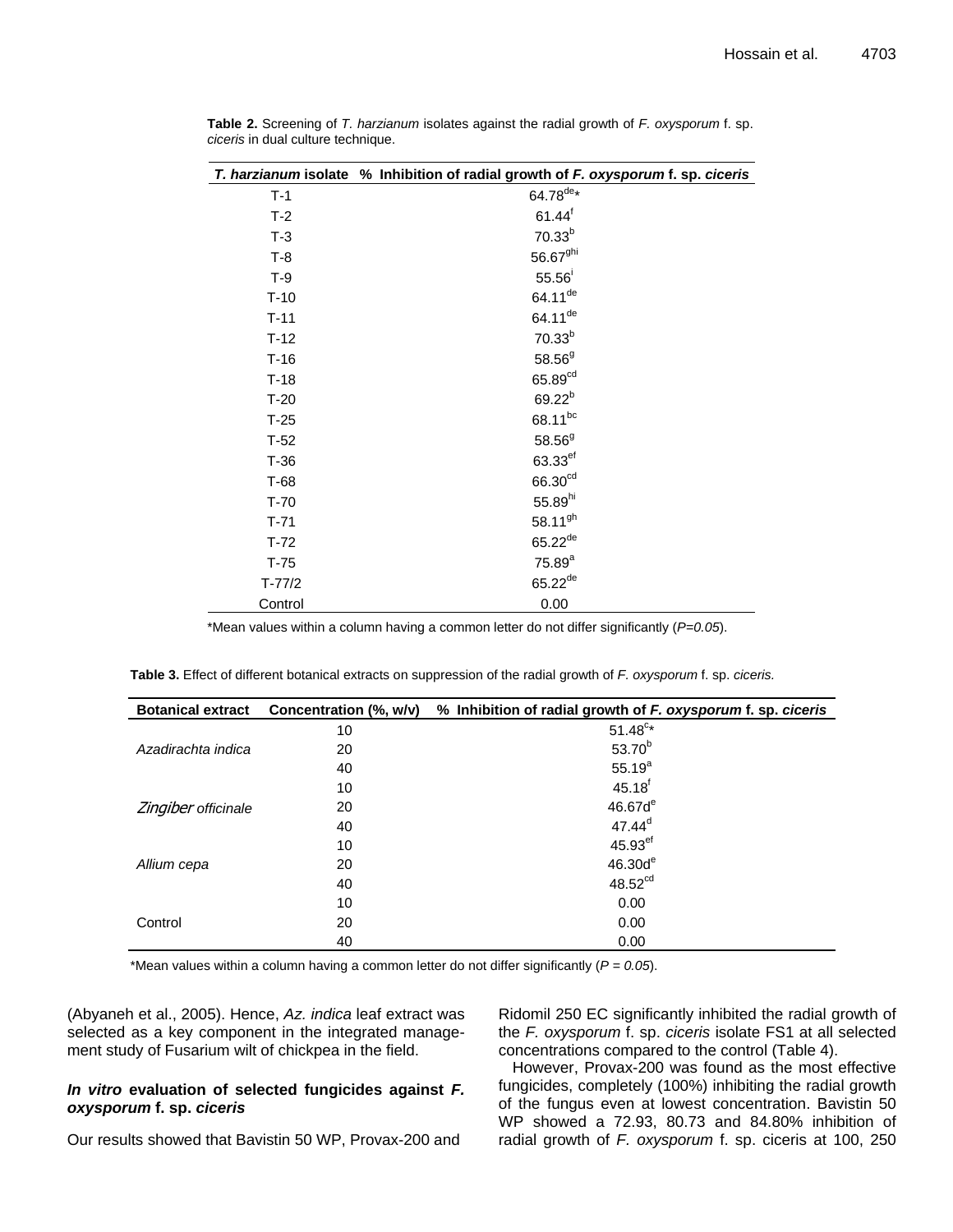|            | T. harzianum isolate % Inhibition of radial growth of F. oxysporum f. sp. ciceris |
|------------|-----------------------------------------------------------------------------------|
| $T-1$      | $64.78^{\text{de}}*$                                                              |
| $T-2$      | $61.44$ <sup>f</sup>                                                              |
| $T-3$      | 70.33 <sup>b</sup>                                                                |
| $T-8$      | 56.67 <sup>ghi</sup>                                                              |
| $T-9$      | 55.56                                                                             |
| $T-10$     | 64.11 <sup>de</sup>                                                               |
| $T-11$     | 64.11 <sup>de</sup>                                                               |
| $T-12$     | $70.33^{b}$                                                                       |
| $T-16$     | $58.56^{9}$                                                                       |
| $T-18$     | 65.89 <sup>cd</sup>                                                               |
| $T-20$     | $69.22^{b}$                                                                       |
| $T-25$     | 68.11bc                                                                           |
| $T-52$     | $58.56^{9}$                                                                       |
| $T-36$     | 63.33 <sup>ef</sup>                                                               |
| $T-68$     | 66.30 <sup>cd</sup>                                                               |
| $T-70$     | 55.89hi                                                                           |
| $T-71$     | 58.11 <sup>gh</sup>                                                               |
| $T-72$     | $65.22^{de}$                                                                      |
| $T-75$     | $75.89^{a}$                                                                       |
| $T - 77/2$ | $65.22^{de}$                                                                      |
| Control    | 0.00                                                                              |

**Table 2.** Screening of *T. harzianum* isolates against the radial growth of *F. oxysporum* f. sp. *ciceris* in dual culture technique.

\*Mean values within a column having a common letter do not differ significantly (*P=0.05*).

**Table 3.** Effect of different botanical extracts on suppression of the radial growth of *F. oxysporum* f. sp. *ciceris.*

| <b>Botanical extract</b> | Concentration (%, w/v) | % Inhibition of radial growth of F. oxysporum f. sp. ciceris |
|--------------------------|------------------------|--------------------------------------------------------------|
| Azadirachta indica       | 10                     | $51.48^{c*}$                                                 |
|                          | 20                     | $53.70^{b}$                                                  |
|                          | 40                     | $55.19^{a}$                                                  |
| Zingiber officinale      | 10                     | $45.18$ <sup>f</sup>                                         |
|                          | 20                     | 46.67d <sup>e</sup>                                          |
|                          | 40                     | $47.44^d$                                                    |
| Allium cepa              | 10                     | 45.93 <sup>ef</sup>                                          |
|                          | 20                     | 46.30d <sup>e</sup>                                          |
|                          | 40                     | 48.52 <sup>cd</sup>                                          |
| Control                  | 10                     | 0.00                                                         |
|                          | 20                     | 0.00                                                         |
|                          | 40                     | 0.00                                                         |

\*Mean values within a column having a common letter do not differ significantly (*P = 0.05*).

(Abyaneh et al., 2005). Hence, *Az. indica* leaf extract was selected as a key component in the integrated management study of Fusarium wilt of chickpea in the field.

# *In vitro* **evaluation of selected fungicides against** *F. oxysporum* **f. sp.** *ciceris*

Our results showed that Bavistin 50 WP, Provax-200 and

Ridomil 250 EC significantly inhibited the radial growth of the *F. oxysporum* f. sp. *ciceris* isolate FS1 at all selected concentrations compared to the control (Table 4).

However, Provax-200 was found as the most effective fungicides, completely (100%) inhibiting the radial growth of the fungus even at lowest concentration. Bavistin 50 WP showed a 72.93, 80.73 and 84.80% inhibition of radial growth of *F. oxysporum* f. sp. ciceris at 100, 250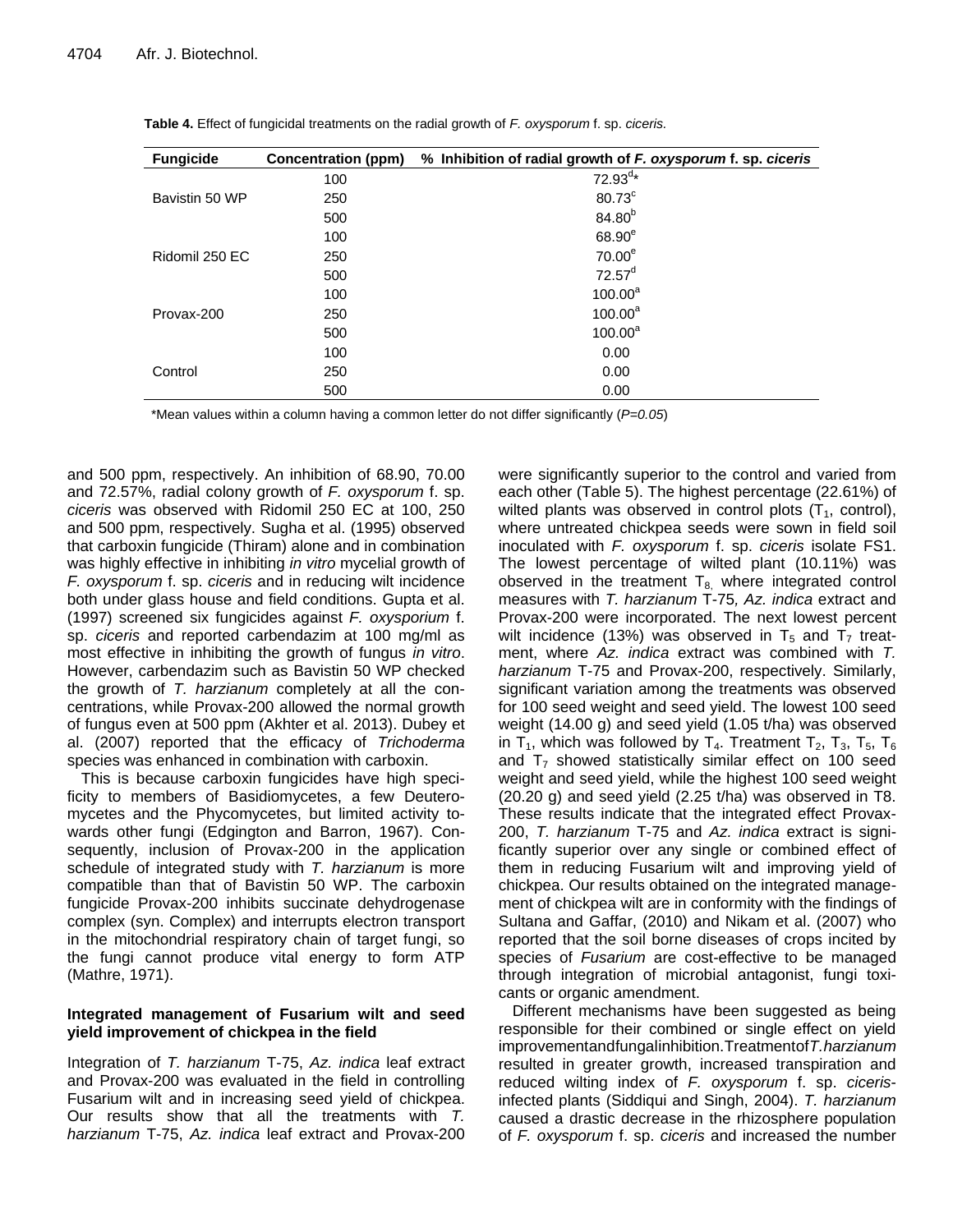| <b>Fungicide</b> | <b>Concentration (ppm)</b> | % Inhibition of radial growth of F. oxysporum f. sp. ciceris |
|------------------|----------------------------|--------------------------------------------------------------|
| Bavistin 50 WP   | 100                        | $72.93^{d*}$                                                 |
|                  | 250                        | 80.73°                                                       |
|                  | 500                        | 84.80 <sup>b</sup>                                           |
| Ridomil 250 EC   | 100                        | 68.90 <sup>e</sup>                                           |
|                  | 250                        | 70.00 <sup>e</sup>                                           |
|                  | 500                        | $72.57^d$                                                    |
| Provax-200       | 100                        | $100.00^a$                                                   |
|                  | 250                        | $100.00^a$                                                   |
|                  | 500                        | $100.00^a$                                                   |
| Control          | 100                        | 0.00                                                         |
|                  | 250                        | 0.00                                                         |
|                  | 500                        | 0.00                                                         |

**Table 4.** Effect of fungicidal treatments on the radial growth of *F. oxysporum* f. sp. *ciceris.*

\*Mean values within a column having a common letter do not differ significantly (*P=0.05*)

and 500 ppm, respectively. An inhibition of 68.90, 70.00 and 72.57%, radial colony growth of *F. oxysporum* f. sp. *ciceris* was observed with Ridomil 250 EC at 100, 250 and 500 ppm, respectively. Sugha et al. (1995) observed that carboxin fungicide (Thiram) alone and in combination was highly effective in inhibiting *in vitro* mycelial growth of *F. oxysporum* f. sp. *ciceris* and in reducing wilt incidence both under glass house and field conditions. Gupta et al. (1997) screened six fungicides against *F. oxysporium* f. sp. *ciceris* and reported carbendazim at 100 mg/ml as most effective in inhibiting the growth of fungus *in vitro*. However, carbendazim such as Bavistin 50 WP checked the growth of *T. harzianum* completely at all the concentrations, while Provax-200 allowed the normal growth of fungus even at 500 ppm (Akhter et al. 2013). Dubey et al. (2007) reported that the efficacy of *Trichoderma* species was enhanced in combination with carboxin.

This is because carboxin fungicides have high specificity to members of Basidiomycetes, a few Deuteromycetes and the Phycomycetes, but limited activity towards other fungi (Edgington and Barron, 1967). Consequently, inclusion of Provax-200 in the application schedule of integrated study with *T. harzianum* is more compatible than that of Bavistin 50 WP. The carboxin fungicide Provax-200 inhibits succinate dehydrogenase complex (syn. Complex) and interrupts electron transport in the mitochondrial respiratory chain of target fungi, so the fungi cannot produce vital energy to form ATP (Mathre, 1971).

# **Integrated management of Fusarium wilt and seed yield improvement of chickpea in the field**

Integration of *T. harzianum* T-75, *Az. indica* leaf extract and Provax-200 was evaluated in the field in controlling Fusarium wilt and in increasing seed yield of chickpea. Our results show that all the treatments with *T. harzianum* T-75, *Az. indica* leaf extract and Provax-200 were significantly superior to the control and varied from each other (Table 5). The highest percentage (22.61%) of wilted plants was observed in control plots  $(T_1, \text{ control})$ , where untreated chickpea seeds were sown in field soil inoculated with *F. oxysporum* f. sp. *ciceris* isolate FS1. The lowest percentage of wilted plant (10.11%) was observed in the treatment  $T_{8}$ , where integrated control measures with *T. harzianum* T-75*, Az. indica* extract and Provax-200 were incorporated. The next lowest percent wilt incidence (13%) was observed in  $T_5$  and  $T_7$  treatment, where *Az. indica* extract was combined with *T. harzianum* T-75 and Provax-200, respectively. Similarly, significant variation among the treatments was observed for 100 seed weight and seed yield. The lowest 100 seed weight (14.00 g) and seed yield (1.05 t/ha) was observed in T<sub>1</sub>, which was followed by T<sub>4</sub>. Treatment T<sub>2</sub>, T<sub>3</sub>, T<sub>5</sub>, T<sub>6</sub> and  $T_7$  showed statistically similar effect on 100 seed weight and seed yield, while the highest 100 seed weight (20.20 g) and seed yield (2.25 t/ha) was observed in T8. These results indicate that the integrated effect Provax-200, *T. harzianum* T-75 and *Az. indica* extract is significantly superior over any single or combined effect of them in reducing Fusarium wilt and improving yield of chickpea. Our results obtained on the integrated management of chickpea wilt are in conformity with the findings of Sultana and Gaffar, (2010) and Nikam et al. (2007) who reported that the soil borne diseases of crops incited by species of *Fusarium* are cost-effective to be managed through integration of microbial antagonist, fungi toxicants or organic amendment.

Different mechanisms have been suggested as being responsible for their combined or single effect on yield improvementandfungalinhibition.Treatmentof*T.harzianum* resulted in greater growth, increased transpiration and reduced wilting index of *F. oxysporum* f. sp. *ciceris*infected plants (Siddiqui and Singh, 2004). *T. harzianum* caused a drastic decrease in the rhizosphere population of *F. oxysporum* f. sp. *ciceris* and increased the number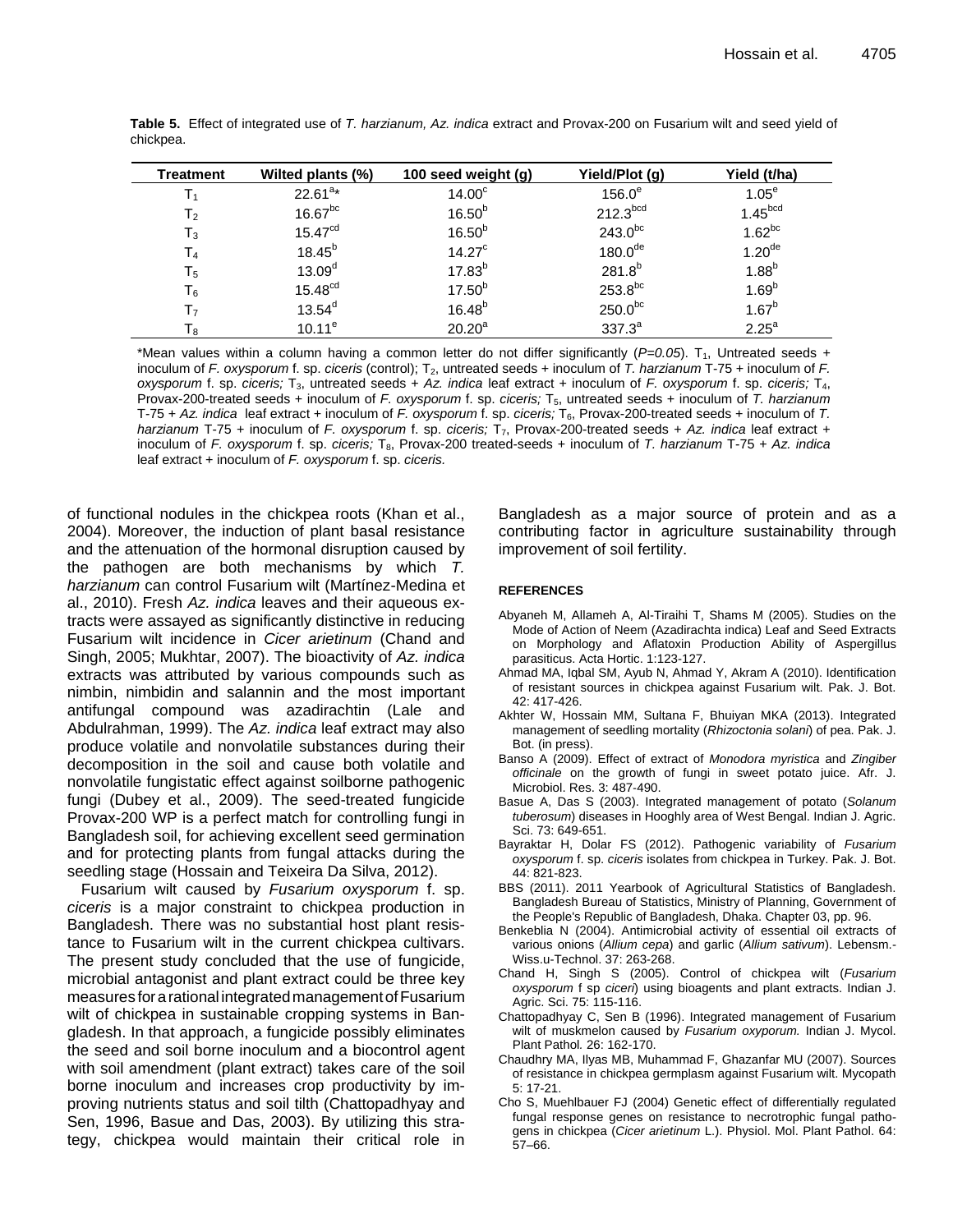| Treatment      | Wilted plants (%)     | 100 seed weight (g) | Yield/Plot (g)       | Yield (t/ha)         |
|----------------|-----------------------|---------------------|----------------------|----------------------|
| Τ,             | $22.61^{a*}$          | 14.00 <sup>c</sup>  | $156.0^\circ$        | 1.05 <sup>e</sup>    |
| $\mathsf{T}_2$ | $16.67$ <sup>bc</sup> | $16.50^{b}$         | 212.3 <sup>bcd</sup> | 1.45 <sup>bcd</sup>  |
| $\mathsf{T}_3$ | 15.47 <sup>cd</sup>   | $16.50^{b}$         | $243.0^{bc}$         | $1.62^{bc}$          |
| $\mathsf{T}_4$ | $18.45^{b}$           | 14.27 <sup>c</sup>  | 180.0 <sup>de</sup>  | $1.20$ <sup>de</sup> |
| $\mathsf{T}_5$ | 13.09 <sup>d</sup>    | $17.83^{b}$         | $281.8^{b}$          | $1.88^{b}$           |
| Т <sub>6</sub> | 15.48 <sup>cd</sup>   | $17.50^{b}$         | $253.8^{bc}$         | $1.69^{b}$           |
| $\mathsf{T}_7$ | $13.54^d$             | $16.48^{b}$         | $250.0^{bc}$         | $1.67^{b}$           |
| Тg             | $10.11^e$             | 20.20 <sup>a</sup>  | $337.3^{a}$          | 2.25 <sup>a</sup>    |

**Table 5.** Effect of integrated use of *T. harzianum, Az. indica* extract and Provax-200 on Fusarium wilt and seed yield of chickpea.

\*Mean values within a column having a common letter do not differ significantly  $(P=0.05)$ . T<sub>1</sub>, Untreated seeds + inoculum of *F. oxysporum* f. sp. *ciceris* (control); T<sub>2</sub>, untreated seeds + inoculum of *T. harzianum* T-75 + inoculum of *F. oxysporum* f. sp. *ciceris;* T3, untreated seeds + *Az. indica* leaf extract + inoculum of *F. oxysporum* f. sp. *ciceris;* T4, Provax-200-treated seeds + inoculum of *F. oxysporum* f. sp. *ciceris;* T5, untreated seeds + inoculum of *T. harzianum* T-75 + Az. indica leaf extract + inoculum of *F. oxysporum* f. sp. *ciceris*; T<sub>6</sub>, Provax-200-treated seeds + inoculum of T. *harzianum* T-75 + inoculum of *F. oxysporum* f. sp. *ciceris;* T7, Provax-200-treated seeds + *Az. indica* leaf extract + inoculum of *F. oxysporum* f. sp. *ciceris;* T8, Provax-200 treated-seeds + inoculum of *T. harzianum* T-75 + *Az. indica* leaf extract + inoculum of *F. oxysporum* f. sp. *ciceris.*

of functional nodules in the chickpea roots (Khan et al., 2004). Moreover, the induction of plant basal resistance and the attenuation of the hormonal disruption caused by the pathogen are both mechanisms by which *T. harzianum* can control Fusarium wilt (Martínez-Medina et al., 2010). Fresh *Az. indica* leaves and their aqueous extracts were assayed as significantly distinctive in reducing Fusarium wilt incidence in *Cicer arietinum* (Chand and Singh, 2005; Mukhtar, 2007). The bioactivity of *Az. indica* extracts was attributed by various compounds such as nimbin, nimbidin and salannin and the most important antifungal compound was azadirachtin (Lale and Abdulrahman, 1999). The *Az. indica* leaf extract may also produce volatile and nonvolatile substances during their decomposition in the soil and cause both volatile and nonvolatile fungistatic effect against soilborne pathogenic fungi (Dubey et al., 2009). The seed-treated fungicide Provax-200 WP is a perfect match for controlling fungi in Bangladesh soil, for achieving excellent seed germination and for protecting plants from fungal attacks during the seedling stage (Hossain and Teixeira Da Silva, 2012).

Fusarium wilt caused by *Fusarium oxysporum* f. sp. *ciceris* is a major constraint to chickpea production in Bangladesh. There was no substantial host plant resistance to Fusarium wilt in the current chickpea cultivars. The present study concluded that the use of fungicide, microbial antagonist and plant extract could be three key measures forarational integratedmanagementofFusarium wilt of chickpea in sustainable cropping systems in Bangladesh. In that approach, a fungicide possibly eliminates the seed and soil borne inoculum and a biocontrol agent with soil amendment (plant extract) takes care of the soil borne inoculum and increases crop productivity by improving nutrients status and soil tilth (Chattopadhyay and Sen, 1996, Basue and Das, 2003). By utilizing this strategy, chickpea would maintain their critical role in Bangladesh as a major source of protein and as a contributing factor in agriculture sustainability through improvement of soil fertility.

#### **REFERENCES**

- Abyaneh M, Allameh A, Al-Tiraihi T, Shams M (2005). Studies on the Mode of Action of Neem (Azadirachta indica) Leaf and Seed Extracts on Morphology and Aflatoxin Production Ability of Aspergillus parasiticus. Acta Hortic. 1:123-127.
- Ahmad MA, Iqbal SM, Ayub N, Ahmad Y, Akram A (2010). Identification of resistant sources in chickpea against Fusarium wilt. Pak. J. Bot. 42: 417-426.
- Akhter W, Hossain MM, Sultana F, Bhuiyan MKA (2013). Integrated management of seedling mortality (*Rhizoctonia solani*) of pea. Pak. J. Bot. (in press).
- Banso A (2009). Effect of extract of *Monodora myristica* and *Zingiber officinale* on the growth of fungi in sweet potato juice. Afr. J. Microbiol. Res. 3: 487‐490.
- Basue A, Das S (2003). Integrated management of potato (*Solanum tuberosum*) diseases in Hooghly area of West Bengal. Indian J. Agric. Sci. 73: 649-651.
- Bayraktar H, Dolar FS (2012). Pathogenic variability of *Fusarium oxysporum* f. sp. *ciceris* isolates from chickpea in Turkey. Pak. J. Bot. 44: 821-823.
- BBS (2011). 2011 Yearbook of Agricultural Statistics of Bangladesh. Bangladesh Bureau of Statistics, Ministry of Planning, Government of the People's Republic of Bangladesh, Dhaka. Chapter 03, pp. 96.
- Benkeblia N (2004). Antimicrobial activity of essential oil extracts of various onions (*Allium cepa*) and garlic (*Allium sativum*). Lebensm.- Wiss.u-Technol. 37: 263-268.
- Chand H, Singh S (2005). Control of chickpea wilt (*Fusarium oxysporum* f sp *ciceri*) using bioagents and plant extracts. Indian J. Agric. Sci. 75: 115-116.
- Chattopadhyay C, Sen B (1996). Integrated management of Fusarium wilt of muskmelon caused by *Fusarium oxyporum.* Indian J. Mycol. Plant Pathol*.* 26: 162-170.
- Chaudhry MA, Ilyas MB, Muhammad F, Ghazanfar MU (2007). Sources of resistance in chickpea germplasm against Fusarium wilt. Mycopath 5: 17-21.
- Cho S, Muehlbauer FJ (2004) Genetic effect of differentially regulated fungal response genes on resistance to necrotrophic fungal pathogens in chickpea (*Cicer arietinum* L.). Physiol. Mol. Plant Pathol. 64: 57–66.